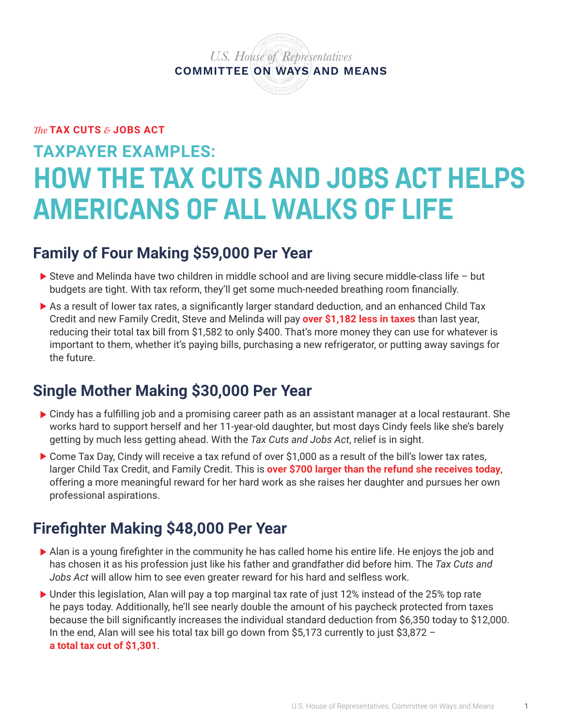*U.S. House of Representatives* **COMMITTEE ON WAYS AND MEANS**

*The* **TAX CUTS** *&* **JOBS ACT**

# **TAXPAYER EXAMPLES: HOW THE TAX CUTS AND JOBS ACT HELPS AMERICANS OF ALL WALKS OF LIFE**

## **Family of Four Making \$59,000 Per Year**

- $\triangleright$  Steve and Melinda have two children in middle school and are living secure middle-class life but budgets are tight. With tax reform, they'll get some much-needed breathing room financially.
- As a result of lower tax rates, a significantly larger standard deduction, and an enhanced Child Tax Credit and new Family Credit, Steve and Melinda will pay **over \$1,182 less in taxes** than last year, reducing their total tax bill from \$1,582 to only \$400. That's more money they can use for whatever is important to them, whether it's paying bills, purchasing a new refrigerator, or putting away savings for the future.

# **Single Mother Making \$30,000 Per Year**

- Cindy has a fulfilling job and a promising career path as an assistant manager at a local restaurant. She works hard to support herself and her 11-year-old daughter, but most days Cindy feels like she's barely getting by much less getting ahead. With the *Tax Cuts and Jobs Act*, relief is in sight.
- Come Tax Day, Cindy will receive a tax refund of over \$1,000 as a result of the bill's lower tax rates, larger Child Tax Credit, and Family Credit. This is **over \$700 larger than the refund she receives today**, offering a more meaningful reward for her hard work as she raises her daughter and pursues her own professional aspirations.

## **Firefighter Making \$48,000 Per Year**

- Alan is a young firefighter in the community he has called home his entire life. He enjoys the job and has chosen it as his profession just like his father and grandfather did before him. The *Tax Cuts and Jobs Act* will allow him to see even greater reward for his hard and selfless work.
- Under this legislation, Alan will pay a top marginal tax rate of just 12% instead of the 25% top rate he pays today. Additionally, he'll see nearly double the amount of his paycheck protected from taxes because the bill significantly increases the individual standard deduction from \$6,350 today to \$12,000. In the end, Alan will see his total tax bill go down from \$5,173 currently to just \$3,872 – **a total tax cut of \$1,301**.